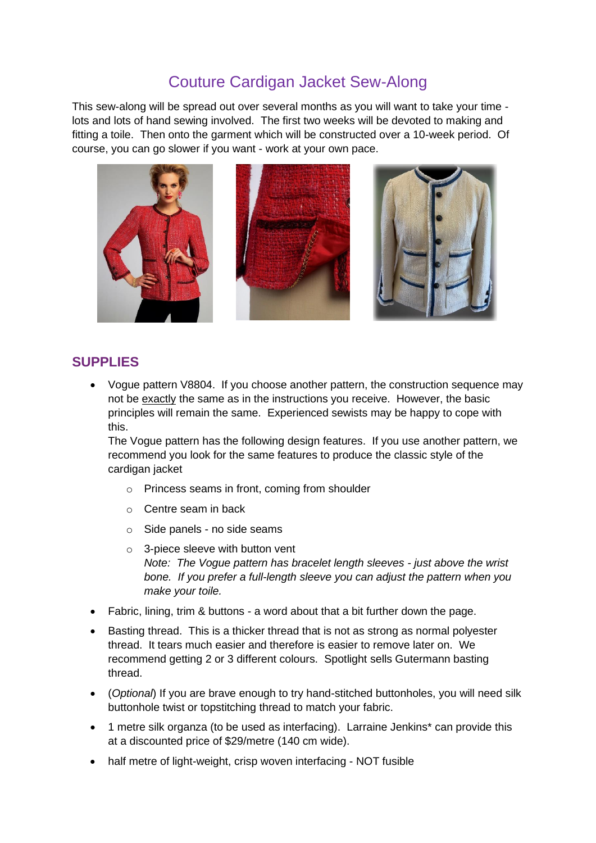# Couture Cardigan Jacket Sew-Along

This sew-along will be spread out over several months as you will want to take your time lots and lots of hand sewing involved. The first two weeks will be devoted to making and fitting a toile. Then onto the garment which will be constructed over a 10-week period. Of course, you can go slower if you want - work at your own pace.



#### **SUPPLIES**

• Vogue pattern V8804. If you choose another pattern, the construction sequence may not be exactly the same as in the instructions you receive. However, the basic principles will remain the same. Experienced sewists may be happy to cope with this.

The Vogue pattern has the following design features. If you use another pattern, we recommend you look for the same features to produce the classic style of the cardigan jacket

- o Princess seams in front, coming from shoulder
- o Centre seam in back
- o Side panels no side seams
- o 3-piece sleeve with button vent *Note: The Vogue pattern has bracelet length sleeves - just above the wrist bone. If you prefer a full-length sleeve you can adjust the pattern when you make your toile.*
- Fabric, lining, trim & buttons a word about that a bit further down the page.
- Basting thread. This is a thicker thread that is not as strong as normal polyester thread. It tears much easier and therefore is easier to remove later on. We recommend getting 2 or 3 different colours. Spotlight sells Gutermann basting thread.
- (*Optional*) If you are brave enough to try hand-stitched buttonholes, you will need silk buttonhole twist or topstitching thread to match your fabric.
- 1 metre silk organza (to be used as interfacing). Larraine Jenkins\* can provide this at a discounted price of \$29/metre (140 cm wide).
- half metre of light-weight, crisp woven interfacing NOT fusible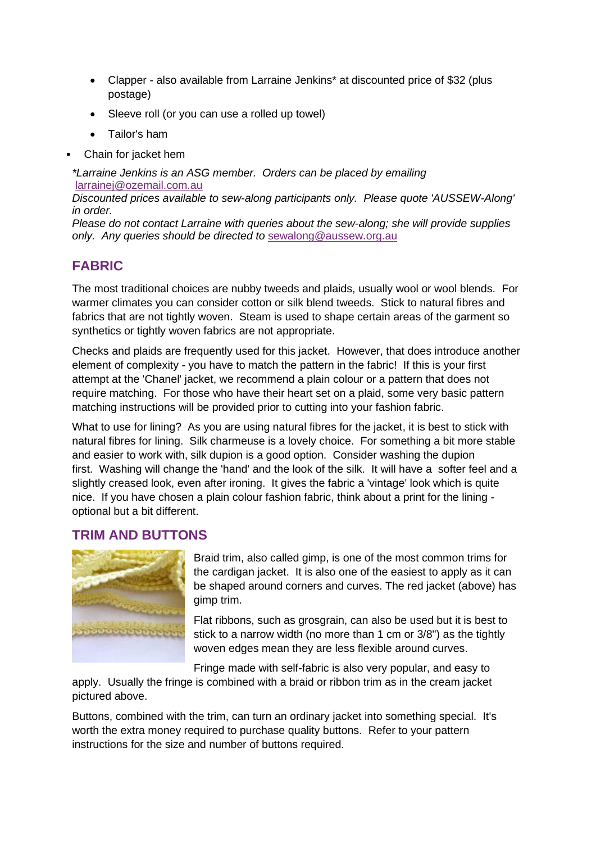- Clapper also available from Larraine Jenkins\* at discounted price of \$32 (plus postage)
- Sleeve roll (or you can use a rolled up towel)
- Tailor's ham
- Chain for jacket hem

*\*Larraine Jenkins is an ASG member. Orders can be placed by emailing* [larrainej@ozemail.com.au](mailto:larrainej@ozemail.com.au) *Discounted prices available to sew-along participants only. Please quote 'AUSSEW-Along' in order.*

*Please do not contact Larraine with queries about the sew-along; she will provide supplies only. Any queries should be directed to* [sewalong@aussew.org.au](mailto:sewalong@aussew.org.au)

## **FABRIC**

The most traditional choices are nubby tweeds and plaids, usually wool or wool blends. For warmer climates you can consider cotton or silk blend tweeds. Stick to natural fibres and fabrics that are not tightly woven. Steam is used to shape certain areas of the garment so synthetics or tightly woven fabrics are not appropriate.

Checks and plaids are frequently used for this jacket. However, that does introduce another element of complexity - you have to match the pattern in the fabric! If this is your first attempt at the 'Chanel' jacket, we recommend a plain colour or a pattern that does not require matching. For those who have their heart set on a plaid, some very basic pattern matching instructions will be provided prior to cutting into your fashion fabric.

What to use for lining? As you are using natural fibres for the jacket, it is best to stick with natural fibres for lining. Silk charmeuse is a lovely choice. For something a bit more stable and easier to work with, silk dupion is a good option. Consider washing the dupion first. Washing will change the 'hand' and the look of the silk. It will have a softer feel and a slightly creased look, even after ironing. It gives the fabric a 'vintage' look which is quite nice. If you have chosen a plain colour fashion fabric, think about a print for the lining optional but a bit different.

#### **TRIM AND BUTTONS**



Braid trim, also called gimp, is one of the most common trims for the cardigan jacket. It is also one of the easiest to apply as it can be shaped around corners and curves. The red jacket (above) has gimp trim.

Flat ribbons, such as grosgrain, can also be used but it is best to stick to a narrow width (no more than 1 cm or 3/8") as the tightly woven edges mean they are less flexible around curves.

Fringe made with self-fabric is also very popular, and easy to

apply. Usually the fringe is combined with a braid or ribbon trim as in the cream jacket pictured above.

Buttons, combined with the trim, can turn an ordinary jacket into something special. It's worth the extra money required to purchase quality buttons. Refer to your pattern instructions for the size and number of buttons required.